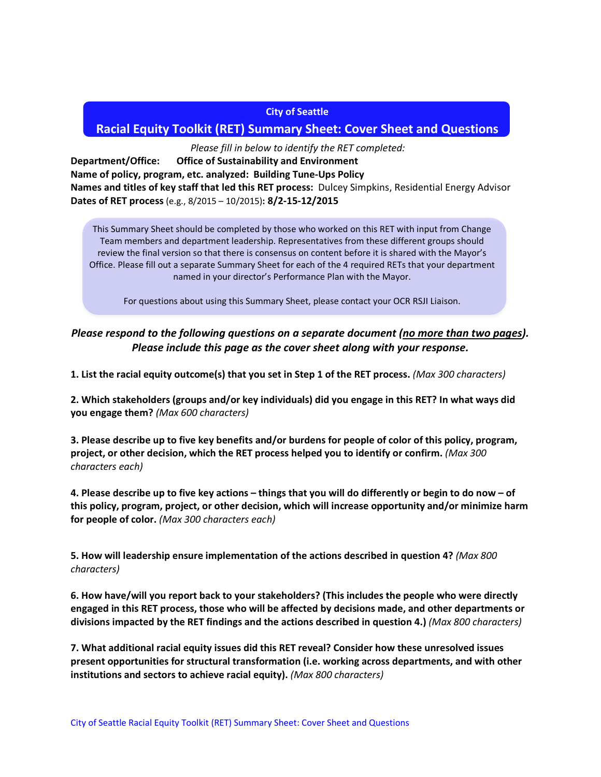#### **City of Seattle**

# **Racial Equity Toolkit (RET) Summary Sheet: Cover Sheet and Questions**

*Please fill in below to identify the RET completed:*

**Department/Office: Office of Sustainability and Environment Name of policy, program, etc. analyzed: Building Tune-Ups Policy Names and titles of key staff that led this RET process:** Dulcey Simpkins, Residential Energy Advisor **Dates of RET process** (e.g., 8/2015 – 10/2015)**: 8/2-15-12/2015**

This Summary Sheet should be completed by those who worked on this RET with input from Change Team members and department leadership. Representatives from these different groups should review the final version so that there is consensus on content before it is shared with the Mayor's Office. Please fill out a separate Summary Sheet for each of the 4 required RETs that your department named in your director's Performance Plan with the Mayor.

For questions about using this Summary Sheet, please contact your OCR RSJI Liaison.

# *Please respond to the following questions on a separate document (no more than two pages). Please include this page as the cover sheet along with your response.*

**1. List the racial equity outcome(s) that you set in Step 1 of the RET process.** *(Max 300 characters)*

**2. Which stakeholders (groups and/or key individuals) did you engage in this RET? In what ways did you engage them?** *(Max 600 characters)*

**3. Please describe up to five key benefits and/or burdens for people of color of this policy, program, project, or other decision, which the RET process helped you to identify or confirm.** *(Max 300 characters each)*

**4. Please describe up to five key actions – things that you will do differently or begin to do now – of this policy, program, project, or other decision, which will increase opportunity and/or minimize harm for people of color.** *(Max 300 characters each)*

**5. How will leadership ensure implementation of the actions described in question 4?** *(Max 800 characters)*

**6. How have/will you report back to your stakeholders? (This includes the people who were directly engaged in this RET process, those who will be affected by decisions made, and other departments or divisions impacted by the RET findings and the actions described in question 4.)** *(Max 800 characters)*

**7. What additional racial equity issues did this RET reveal? Consider how these unresolved issues present opportunities for structural transformation (i.e. working across departments, and with other institutions and sectors to achieve racial equity).** *(Max 800 characters)*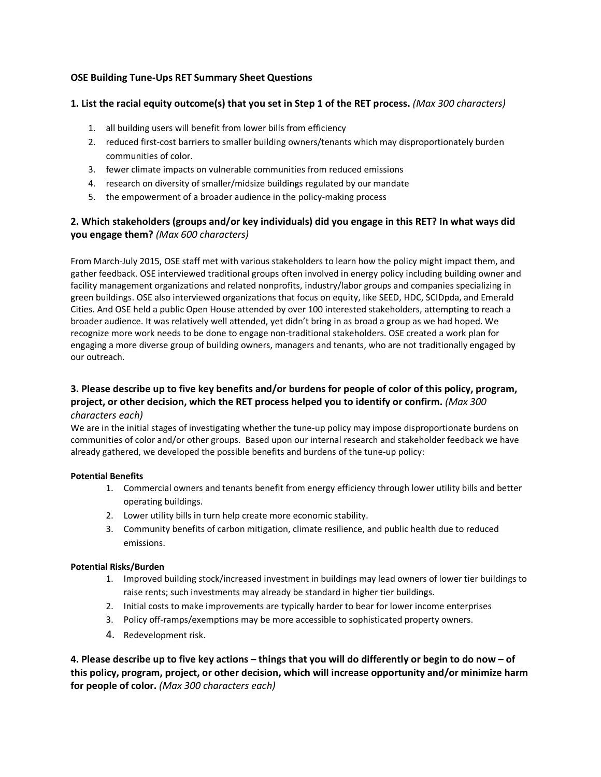## **OSE Building Tune-Ups RET Summary Sheet Questions**

#### **1. List the racial equity outcome(s) that you set in Step 1 of the RET process.** *(Max 300 characters)*

- 1. all building users will benefit from lower bills from efficiency
- 2. reduced first-cost barriers to smaller building owners/tenants which may disproportionately burden communities of color.
- 3. fewer climate impacts on vulnerable communities from reduced emissions
- 4. research on diversity of smaller/midsize buildings regulated by our mandate
- 5. the empowerment of a broader audience in the policy-making process

## **2. Which stakeholders (groups and/or key individuals) did you engage in this RET? In what ways did you engage them?** *(Max 600 characters)*

From March-July 2015, OSE staff met with various stakeholders to learn how the policy might impact them, and gather feedback. OSE interviewed traditional groups often involved in energy policy including building owner and facility management organizations and related nonprofits, industry/labor groups and companies specializing in green buildings. OSE also interviewed organizations that focus on equity, like SEED, HDC, SCIDpda, and Emerald Cities. And OSE held a public Open House attended by over 100 interested stakeholders, attempting to reach a broader audience. It was relatively well attended, yet didn't bring in as broad a group as we had hoped. We recognize more work needs to be done to engage non-traditional stakeholders. OSE created a work plan for engaging a more diverse group of building owners, managers and tenants, who are not traditionally engaged by our outreach.

#### **3. Please describe up to five key benefits and/or burdens for people of color of this policy, program, project, or other decision, which the RET process helped you to identify or confirm.** *(Max 300 characters each)*

We are in the initial stages of investigating whether the tune-up policy may impose disproportionate burdens on communities of color and/or other groups. Based upon our internal research and stakeholder feedback we have already gathered, we developed the possible benefits and burdens of the tune-up policy:

#### **Potential Benefits**

- 1. Commercial owners and tenants benefit from energy efficiency through lower utility bills and better operating buildings.
- 2. Lower utility bills in turn help create more economic stability.
- 3. Community benefits of carbon mitigation, climate resilience, and public health due to reduced emissions.

#### **Potential Risks/Burden**

- 1. Improved building stock/increased investment in buildings may lead owners of lower tier buildings to raise rents; such investments may already be standard in higher tier buildings.
- 2. Initial costs to make improvements are typically harder to bear for lower income enterprises
- 3. Policy off-ramps/exemptions may be more accessible to sophisticated property owners.
- 4. Redevelopment risk.

**4. Please describe up to five key actions – things that you will do differently or begin to do now – of this policy, program, project, or other decision, which will increase opportunity and/or minimize harm for people of color.** *(Max 300 characters each)*